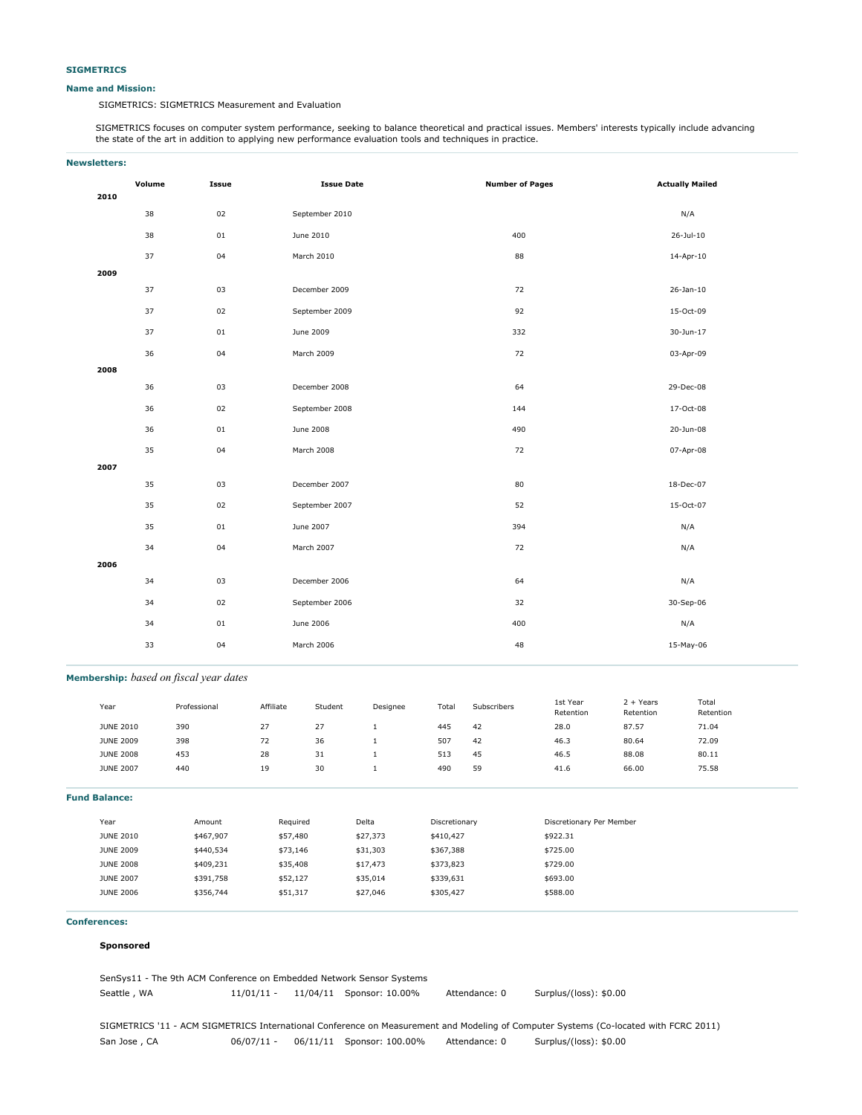#### **Name and Mission:**

SIGMETRICS: SIGMETRICS Measurement and Evaluation

SIGMETRICS focuses on computer system performance, seeking to balance theoretical and practical issues. Members' interests typically include advancing the state of the art in addition to applying new performance evaluation tools and techniques in practice.

| <b>Newsletters:</b> |        |        |                   |                        |                        |  |  |
|---------------------|--------|--------|-------------------|------------------------|------------------------|--|--|
| 2010                | Volume | Issue  | <b>Issue Date</b> | <b>Number of Pages</b> | <b>Actually Mailed</b> |  |  |
|                     | 38     | 02     | September 2010    |                        | N/A                    |  |  |
|                     | 38     | 01     | June 2010         | 400                    | $26 -$ Jul-10          |  |  |
|                     | 37     | 04     | March 2010        | 88                     | 14-Apr-10              |  |  |
| 2009                |        |        |                   |                        |                        |  |  |
|                     | 37     | 03     | December 2009     | 72                     | $26 - Jan - 10$        |  |  |
|                     | 37     | 02     | September 2009    | 92                     | 15-Oct-09              |  |  |
|                     | 37     | $01\,$ | June 2009         | 332                    | 30-Jun-17              |  |  |
|                     | 36     | 04     | March 2009        | 72                     | 03-Apr-09              |  |  |
| 2008                |        |        |                   |                        |                        |  |  |
|                     | 36     | 03     | December 2008     | 64                     | 29-Dec-08              |  |  |
|                     | 36     | 02     | September 2008    | 144                    | 17-Oct-08              |  |  |
|                     | 36     | 01     | June 2008         | 490                    | 20-Jun-08              |  |  |
|                     | 35     | 04     | March 2008        | 72                     | 07-Apr-08              |  |  |
| 2007                |        |        |                   |                        |                        |  |  |
|                     | 35     | 03     | December 2007     | 80                     | 18-Dec-07              |  |  |
|                     | 35     | 02     | September 2007    | 52                     | 15-Oct-07              |  |  |
|                     | 35     | 01     | June 2007         | 394                    | N/A                    |  |  |
|                     | 34     | 04     | March 2007        | 72                     | N/A                    |  |  |
| 2006                |        |        |                   |                        |                        |  |  |
|                     | 34     | 03     | December 2006     | 64                     | N/A                    |  |  |
|                     | 34     | 02     | September 2006    | 32                     | 30-Sep-06              |  |  |
|                     | 34     | 01     | June 2006         | 400                    | N/A                    |  |  |
|                     | 33     | 04     | March 2006        | 48                     | 15-May-06              |  |  |

## **Membership:** *based on fiscal year dates*

| Year                 | Professional | Affiliate | Student | Designee     | Total         | Subscribers | 1st Year<br>Retention    | $2 + Years$<br>Retention | Total<br>Retention |
|----------------------|--------------|-----------|---------|--------------|---------------|-------------|--------------------------|--------------------------|--------------------|
| <b>JUNE 2010</b>     | 390          | 27        | 27      | 1            | 445           | 42          | 28.0                     | 87.57                    | 71.04              |
| <b>JUNE 2009</b>     | 398          | 72        | 36      | 1            | 507           | 42          | 46.3                     | 80.64                    | 72.09              |
| <b>JUNE 2008</b>     | 453          | 28        | 31      | $\mathbf{1}$ | 513           | 45          | 46.5                     | 88.08                    | 80.11              |
| <b>JUNE 2007</b>     | 440          | 19        | 30      | $1\,$        | 490           | 59          | 41.6                     | 66.00                    | 75.58              |
| <b>Fund Balance:</b> |              |           |         |              |               |             |                          |                          |                    |
| Year                 | Amount       | Required  |         | Delta        | Discretionary |             | Discretionary Per Member |                          |                    |
| <b>JUNE 2010</b>     | \$467,907    | \$57,480  |         | \$27,373     | \$410,427     |             | \$922.31                 |                          |                    |
| <b>JUNE 2009</b>     | \$440,534    | \$73,146  |         | \$31,303     | \$367,388     |             | \$725.00                 |                          |                    |
| <b>JUNE 2008</b>     | \$409,231    | \$35,408  |         | \$17,473     | \$373,823     |             | \$729.00                 |                          |                    |
| <b>JUNE 2007</b>     | \$391,758    | \$52,127  |         | \$35,014     | \$339,631     |             | \$693.00                 |                          |                    |
| <b>JUNE 2006</b>     | \$356,744    | \$51,317  |         | \$27,046     | \$305,427     |             | \$588.00                 |                          |                    |
|                      |              |           |         |              |               |             |                          |                          |                    |

#### **Conferences:**

#### **Sponsored**

| SenSys11 - The 9th ACM Conference on Embedded Network Sensor Systems |              |  |                          |               |                        |  |  |  |
|----------------------------------------------------------------------|--------------|--|--------------------------|---------------|------------------------|--|--|--|
| Seattle, WA                                                          | $11/01/11 -$ |  | 11/04/11 Sponsor: 10.00% | Attendance: 0 | Surplus/(loss): \$0.00 |  |  |  |

SIGMETRICS '11 - ACM SIGMETRICS International Conference on Measurement and Modeling of Computer Systems (Co-located with FCRC 2011) San Jose , CA 06/07/11 - 06/11/11 Sponsor: 100.00% Attendance: 0 Surplus/(loss): \$0.00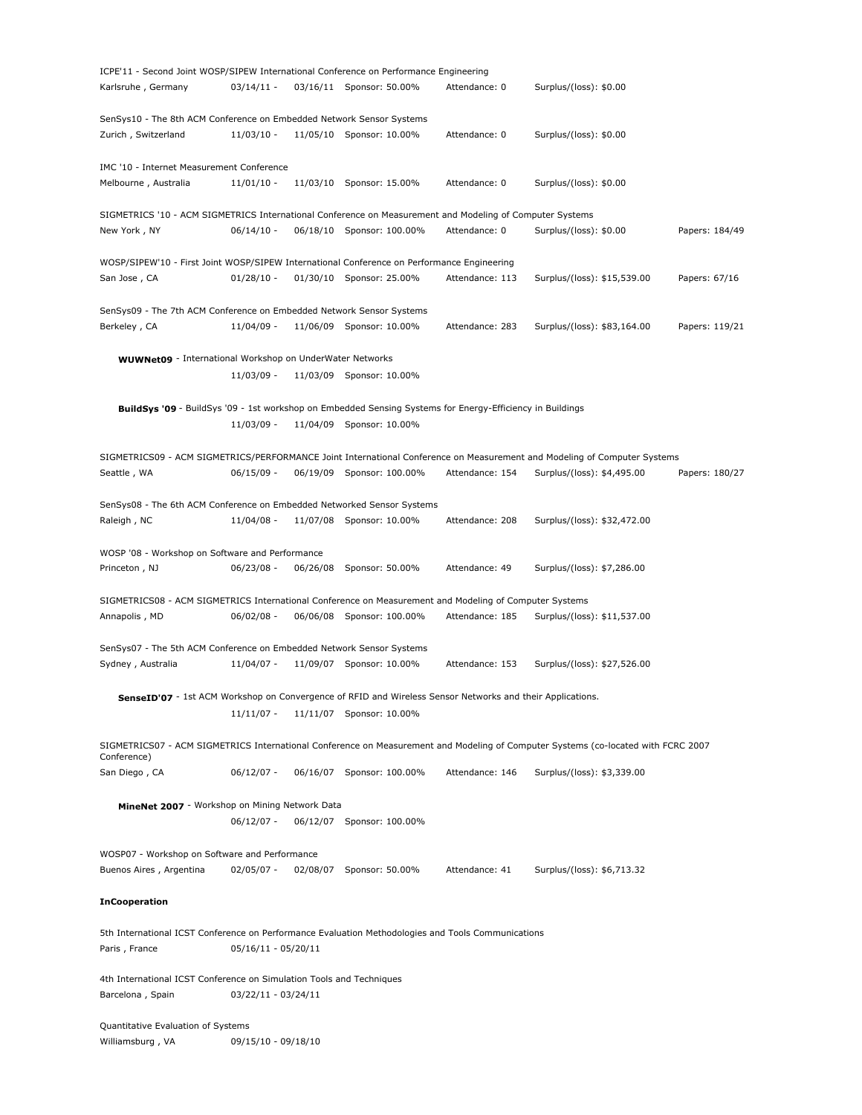| ICPE'11 - Second Joint WOSP/SIPEW International Conference on Performance Engineering                               |                     |          |                           |                 |                                                                                                                                   |                |
|---------------------------------------------------------------------------------------------------------------------|---------------------|----------|---------------------------|-----------------|-----------------------------------------------------------------------------------------------------------------------------------|----------------|
| Karlsruhe, Germany                                                                                                  | $03/14/11 -$        |          | 03/16/11 Sponsor: 50.00%  | Attendance: 0   | Surplus/(loss): \$0.00                                                                                                            |                |
| SenSys10 - The 8th ACM Conference on Embedded Network Sensor Systems                                                |                     |          |                           |                 |                                                                                                                                   |                |
| Zurich, Switzerland                                                                                                 | $11/03/10 -$        |          | 11/05/10 Sponsor: 10.00%  | Attendance: 0   | Surplus/(loss): \$0.00                                                                                                            |                |
| IMC '10 - Internet Measurement Conference                                                                           |                     |          |                           |                 |                                                                                                                                   |                |
| Melbourne, Australia                                                                                                | $11/01/10 -$        | 11/03/10 | Sponsor: 15.00%           | Attendance: 0   | Surplus/(loss): \$0.00                                                                                                            |                |
| SIGMETRICS '10 - ACM SIGMETRICS International Conference on Measurement and Modeling of Computer Systems            |                     |          |                           |                 |                                                                                                                                   |                |
| New York, NY                                                                                                        | $06/14/10 -$        |          | 06/18/10 Sponsor: 100.00% | Attendance: 0   | Surplus/(loss): \$0.00                                                                                                            | Papers: 184/49 |
| WOSP/SIPEW'10 - First Joint WOSP/SIPEW International Conference on Performance Engineering                          |                     |          |                           |                 |                                                                                                                                   |                |
| San Jose, CA                                                                                                        | $01/28/10 -$        |          | 01/30/10 Sponsor: 25.00%  | Attendance: 113 | Surplus/(loss): \$15,539.00                                                                                                       | Papers: 67/16  |
| SenSys09 - The 7th ACM Conference on Embedded Network Sensor Systems                                                |                     |          |                           |                 |                                                                                                                                   |                |
| Berkeley, CA                                                                                                        | 11/04/09 -          |          | 11/06/09 Sponsor: 10.00%  | Attendance: 283 | Surplus/(loss): \$83,164.00                                                                                                       | Papers: 119/21 |
| <b>WUWNet09</b> - International Workshop on UnderWater Networks                                                     |                     |          |                           |                 |                                                                                                                                   |                |
|                                                                                                                     | 11/03/09 -          |          | 11/03/09 Sponsor: 10.00%  |                 |                                                                                                                                   |                |
| BuildSvs '09 - BuildSys '09 - 1st workshop on Embedded Sensing Systems for Energy-Efficiency in Buildings           |                     |          |                           |                 |                                                                                                                                   |                |
|                                                                                                                     | $11/03/09 -$        |          | 11/04/09 Sponsor: 10.00%  |                 |                                                                                                                                   |                |
|                                                                                                                     |                     |          |                           |                 | SIGMETRICS09 - ACM SIGMETRICS/PERFORMANCE Joint International Conference on Measurement and Modeling of Computer Systems          |                |
| Seattle, WA                                                                                                         | $06/15/09 -$        |          | 06/19/09 Sponsor: 100.00% | Attendance: 154 | Surplus/(loss): \$4,495.00                                                                                                        | Papers: 180/27 |
| SenSys08 - The 6th ACM Conference on Embedded Networked Sensor Systems                                              |                     |          |                           |                 |                                                                                                                                   |                |
| Raleigh, NC                                                                                                         | 11/04/08 -          |          | 11/07/08 Sponsor: 10.00%  | Attendance: 208 | Surplus/(loss): \$32,472.00                                                                                                       |                |
| WOSP '08 - Workshop on Software and Performance                                                                     |                     |          |                           |                 |                                                                                                                                   |                |
| Princeton, NJ                                                                                                       | $06/23/08 -$        | 06/26/08 | Sponsor: 50.00%           | Attendance: 49  | Surplus/(loss): \$7,286.00                                                                                                        |                |
| SIGMETRICS08 - ACM SIGMETRICS International Conference on Measurement and Modeling of Computer Systems              |                     |          |                           |                 |                                                                                                                                   |                |
| Annapolis, MD                                                                                                       | $06/02/08 -$        |          | 06/06/08 Sponsor: 100.00% | Attendance: 185 | Surplus/(loss): \$11,537.00                                                                                                       |                |
| SenSys07 - The 5th ACM Conference on Embedded Network Sensor Systems                                                |                     |          |                           |                 |                                                                                                                                   |                |
| Sydney, Australia                                                                                                   | $11/04/07 -$        |          | 11/09/07 Sponsor: 10.00%  | Attendance: 153 | Surplus/(loss): \$27,526.00                                                                                                       |                |
| SenseID'07 - 1st ACM Workshop on Convergence of RFID and Wireless Sensor Networks and their Applications.           |                     |          |                           |                 |                                                                                                                                   |                |
|                                                                                                                     | $11/11/07 -$        |          | 11/11/07 Sponsor: 10.00%  |                 |                                                                                                                                   |                |
| Conference)                                                                                                         |                     |          |                           |                 | SIGMETRICS07 - ACM SIGMETRICS International Conference on Measurement and Modeling of Computer Systems (co-located with FCRC 2007 |                |
| San Diego, CA                                                                                                       | $06/12/07 -$        |          | 06/16/07 Sponsor: 100.00% | Attendance: 146 | Surplus/(loss): \$3,339.00                                                                                                        |                |
| MineNet 2007 - Workshop on Mining Network Data                                                                      |                     |          |                           |                 |                                                                                                                                   |                |
|                                                                                                                     | $06/12/07 -$        |          | 06/12/07 Sponsor: 100.00% |                 |                                                                                                                                   |                |
| WOSP07 - Workshop on Software and Performance                                                                       |                     |          |                           |                 |                                                                                                                                   |                |
| Buenos Aires, Argentina                                                                                             | $02/05/07 -$        | 02/08/07 | Sponsor: 50.00%           | Attendance: 41  | Surplus/(loss): \$6,713.32                                                                                                        |                |
| <b>InCooperation</b>                                                                                                |                     |          |                           |                 |                                                                                                                                   |                |
| 5th International ICST Conference on Performance Evaluation Methodologies and Tools Communications<br>Paris, France | 05/16/11 - 05/20/11 |          |                           |                 |                                                                                                                                   |                |
|                                                                                                                     |                     |          |                           |                 |                                                                                                                                   |                |
| 4th International ICST Conference on Simulation Tools and Techniques<br>Barcelona, Spain                            | 03/22/11 - 03/24/11 |          |                           |                 |                                                                                                                                   |                |
| Quantitative Evaluation of Systems                                                                                  |                     |          |                           |                 |                                                                                                                                   |                |

Williamsburg , VA 09/15/10 - 09/18/10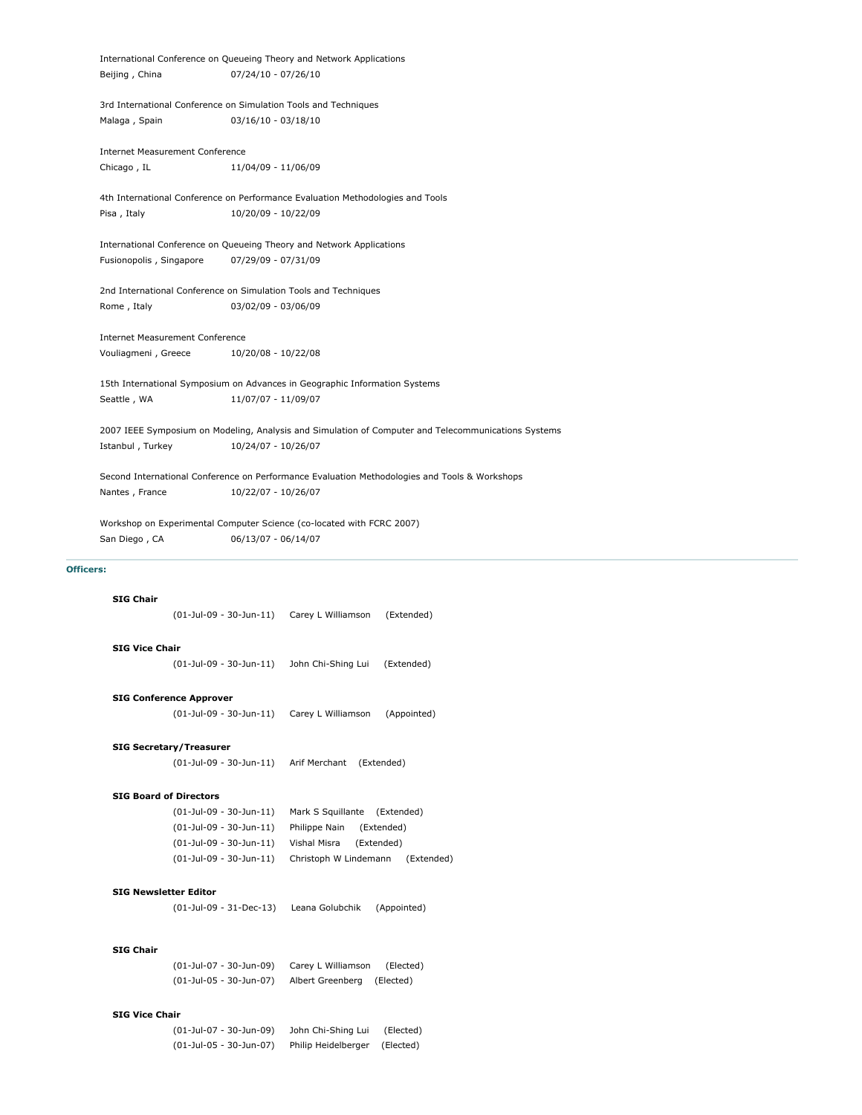|                                 | International Conference on Queueing Theory and Network Applications                                |
|---------------------------------|-----------------------------------------------------------------------------------------------------|
| Beijing, China                  | $07/24/10 - 07/26/10$                                                                               |
|                                 | 3rd International Conference on Simulation Tools and Techniques                                     |
| Malaga, Spain                   | $03/16/10 - 03/18/10$                                                                               |
| Internet Measurement Conference |                                                                                                     |
| Chicago, IL                     | 11/04/09 - 11/06/09                                                                                 |
|                                 | 4th International Conference on Performance Evaluation Methodologies and Tools                      |
| Pisa, Italy                     | 10/20/09 - 10/22/09                                                                                 |
|                                 | International Conference on Queueing Theory and Network Applications                                |
| Fusionopolis, Singapore         | 07/29/09 - 07/31/09                                                                                 |
|                                 | 2nd International Conference on Simulation Tools and Techniques                                     |
| Rome, Italy                     | 03/02/09 - 03/06/09                                                                                 |
| Internet Measurement Conference |                                                                                                     |
| Vouliagmeni, Greece             | 10/20/08 - 10/22/08                                                                                 |
|                                 | 15th International Symposium on Advances in Geographic Information Systems                          |
| Seattle, WA                     | 11/07/07 - 11/09/07                                                                                 |
|                                 | 2007 IEEE Symposium on Modeling, Analysis and Simulation of Computer and Telecommunications Systems |
| Istanbul, Turkey                | 10/24/07 - 10/26/07                                                                                 |
|                                 | Second International Conference on Performance Evaluation Methodologies and Tools & Workshops       |
| Nantes, France                  | 10/22/07 - 10/26/07                                                                                 |
|                                 | Workshop on Experimental Computer Science (co-located with FCRC 2007)                               |
| San Diego, CA                   | 06/13/07 - 06/14/07                                                                                 |
| ers:                            |                                                                                                     |
|                                 |                                                                                                     |

## **Office**

# **SIG Chair**

(01-Jul-09 - 30-Jun-11) Carey L Williamson (Extended)

### **SIG Vice Chair**

(01-Jul-09 - 30-Jun-11) John Chi-Shing Lui (Extended)

## **SIG Conference Approver**

(01-Jul-09 - 30-Jun-11) Carey L Williamson (Appointed)

#### **SIG Secretary/Treasurer**

(01-Jul-09 - 30-Jun-11) Arif Merchant (Extended)

## **SIG Board of Directors**

| (01-Jul-09 - 30-Jun-11)    | Mark S Squillante (Extended)        |
|----------------------------|-------------------------------------|
| (01-Jul-09 - 30-Jun-11)    | Philippe Nain<br>(Extended)         |
| $(01$ -Jul-09 - 30-Jun-11) | Vishal Misra<br>(Extended)          |
| (01-Jul-09 - 30-Jun-11)    | Christoph W Lindemann<br>(Extended) |

### **SIG Newsletter Editor**

(01-Jul-09 - 31-Dec-13) Leana Golubchik (Appointed)

## **SIG Chair**

(01-Jul-07 - 30-Jun-09) Carey L Williamson (Elected) (01-Jul-05 - 30-Jun-07) Albert Greenberg (Elected)

## **SIG Vice Chair**

(01-Jul-07 - 30-Jun-09) John Chi-Shing Lui (Elected) (01-Jul-05 - 30-Jun-07) Philip Heidelberger (Elected)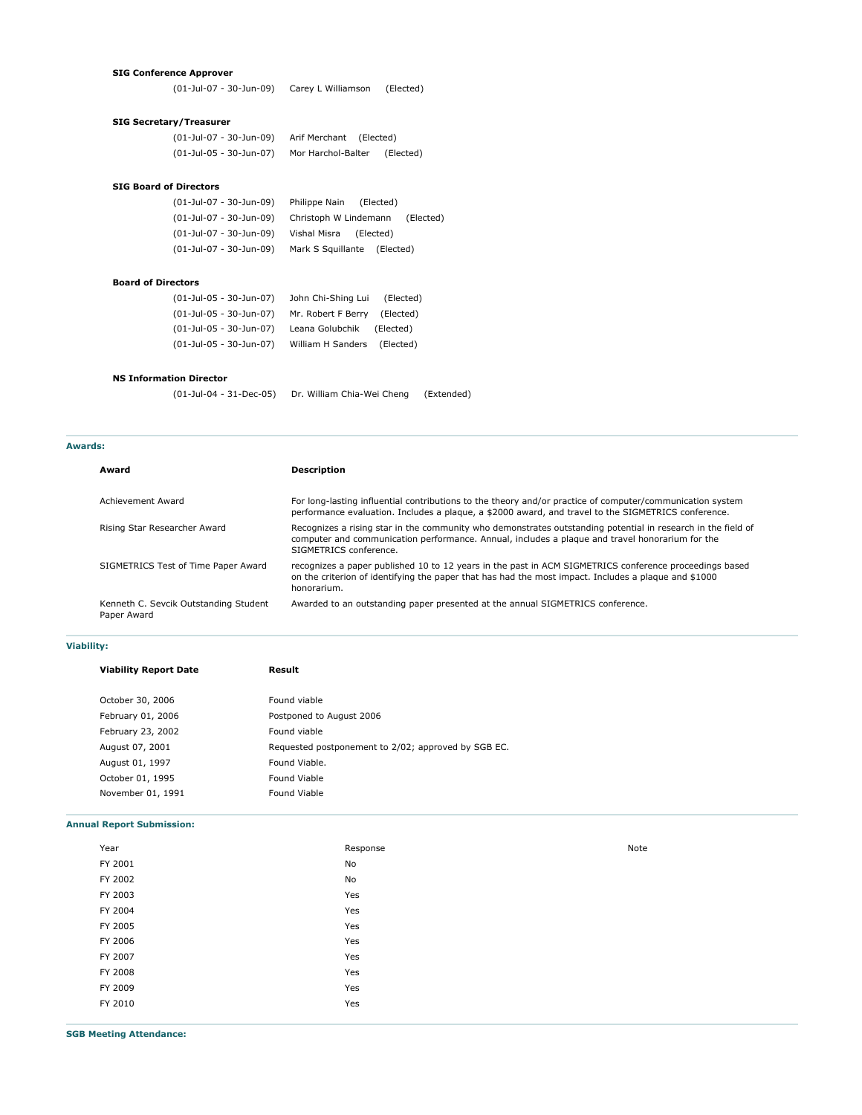## **SIG Conference Approver**

(01-Jul-07 - 30-Jun-09) Carey L Williamson (Elected)

## **SIG Secretary/Treasurer**

| (01-Jul-07 - 30-Jun-09) | Arif Merchant (Elected) |           |
|-------------------------|-------------------------|-----------|
| (01-Jul-05 - 30-Jun-07) | Mor Harchol-Balter      | (Elected) |

## **SIG Board of Directors**

| (01-Jul-07 - 30-Jun-09) | Philippe Nain (Elected)            |
|-------------------------|------------------------------------|
| (01-Jul-07 - 30-Jun-09) | Christoph W Lindemann<br>(Elected) |
| (01-Jul-07 - 30-Jun-09) | Vishal Misra (Elected)             |
| (01-Jul-07 - 30-Jun-09) | Mark S Squillante (Elected)        |

#### **Board of Directors**

| (01-Jul-05 - 30-Jun-07) | John Chi-Shing Lui | (Elected) |
|-------------------------|--------------------|-----------|
| (01-Jul-05 - 30-Jun-07) | Mr. Robert F Berry | (Elected) |
| (01-Jul-05 - 30-Jun-07) | Leana Golubchik    | (Elected) |
| (01-Jul-05 - 30-Jun-07) | William H Sanders  | (Elected) |

## **NS Information Director**

(01-Jul-04 - 31-Dec-05) Dr. William Chia-Wei Cheng (Extended)

#### **Awards:**

| Award                                                | <b>Description</b>                                                                                                                                                                                                                        |
|------------------------------------------------------|-------------------------------------------------------------------------------------------------------------------------------------------------------------------------------------------------------------------------------------------|
| Achievement Award                                    | For long-lasting influential contributions to the theory and/or practice of computer/communication system<br>performance evaluation. Includes a plaque, a \$2000 award, and travel to the SIGMETRICS conference.                          |
| Rising Star Researcher Award                         | Recognizes a rising star in the community who demonstrates outstanding potential in research in the field of<br>computer and communication performance. Annual, includes a plaque and travel honorarium for the<br>SIGMETRICS conference. |
| SIGMETRICS Test of Time Paper Award                  | recognizes a paper published 10 to 12 years in the past in ACM SIGMETRICS conference proceedings based<br>on the criterion of identifying the paper that has had the most impact. Includes a plaque and \$1000<br>honorarium.             |
| Kenneth C. Sevcik Outstanding Student<br>Paper Award | Awarded to an outstanding paper presented at the annual SIGMETRICS conference.                                                                                                                                                            |

#### **Viability:**

**Viability Report Date Result**

| October 30, 2006  | Found viable                                        |
|-------------------|-----------------------------------------------------|
| February 01, 2006 | Postponed to August 2006                            |
| February 23, 2002 | Found viable                                        |
| August 07, 2001   | Requested postponement to 2/02; approved by SGB EC. |
| August 01, 1997   | Found Viable.                                       |
| October 01, 1995  | Found Viable                                        |
| November 01, 1991 | Found Viable                                        |
|                   |                                                     |

#### **Annual Report Submission:**

| Year    | Response | Note |
|---------|----------|------|
| FY 2001 | No       |      |
| FY 2002 | No       |      |
| FY 2003 | Yes      |      |
| FY 2004 | Yes      |      |
| FY 2005 | Yes      |      |
| FY 2006 | Yes      |      |
| FY 2007 | Yes      |      |
| FY 2008 | Yes      |      |
| FY 2009 | Yes      |      |
| FY 2010 | Yes      |      |
|         |          |      |